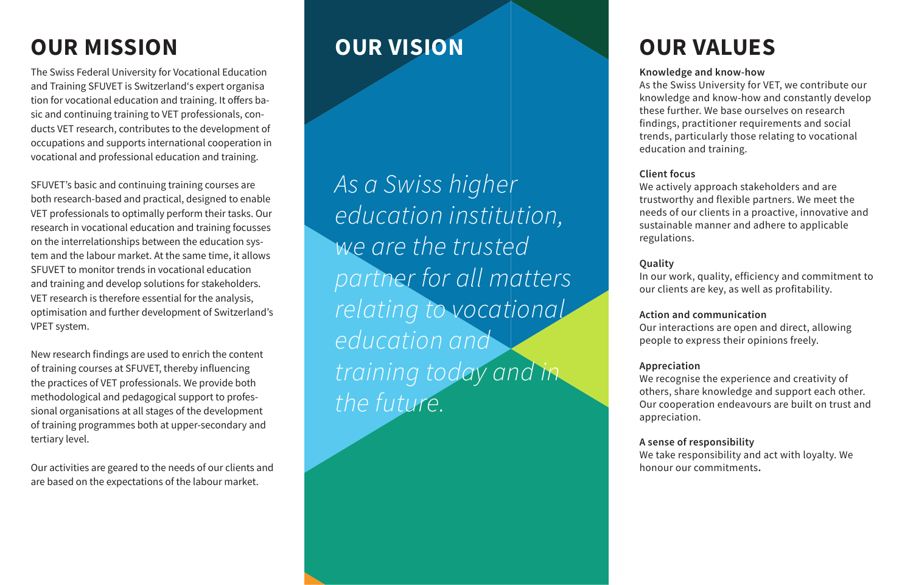# **OUR MISSION OUR VISION OUR VALUES**

The Swiss Federal University for Vocational Education and Training SFUVET is Switzerland's expert organisa tion for vocational education and training. It offers ba sic and continuing training to VET professionals, con ducts VET research, contributes to the development of occupations and supports international cooperation in vocational and professional education and training.

SFUVET's basic and continuing training courses are both research-based and practical, designed to enable VET professionals to optimally perform their tasks. Our research in vocational education and training focusses on the interrelationships between the education sys tem and the labour market. At the same time, it allows SFUVET to monitor trends in vocational education and training and develop solutions for stakeholders. VET research is therefore essential for the analysis, optimisation and further development of Switzerland's VPET system.

New research findings are used to enrich the content of training courses at SFUVET, thereby influencing the practices of VET professionals. We provide both methodological and pedagogical support to profes sional organisations at all stages of the development of training programmes both at upper-secondary and tertiary level.

Our activities are geared to the needs of our clients and are based on the expectations of the labour market.

*As a Swiss higher education institution, we are the trusted partner for all matters relating to vocational education and training today and in the future.*

# **Knowledge and know-how**

As the Swiss University for VET, we contribute our knowledge and know-how and constantly develop these further. We base ourselves on research findings, practitioner requirements and social trends, particularly those relating to vocational education and training.

### **Client focus**

We actively approach stakeholders and are trustworthy and flexible partners. We meet the needs of our clients in a proactive, innovative and sustainable manner and adhere to applicable regulations.

# **Quality**

In our work, quality, efficiency and commitment to our clients are key, as well as profitability.

### **Action and communication**

Our interactions are open and direct, allowing people to express their opinions freely.

# **Appreciation**

We recognise the experience and creativity of others, share knowledge and support each other. Our cooperation endeavours are built on trust and appreciation.

# **A sense of responsibility**

We take responsibility and act with loyalty. We honour our commitments **.**